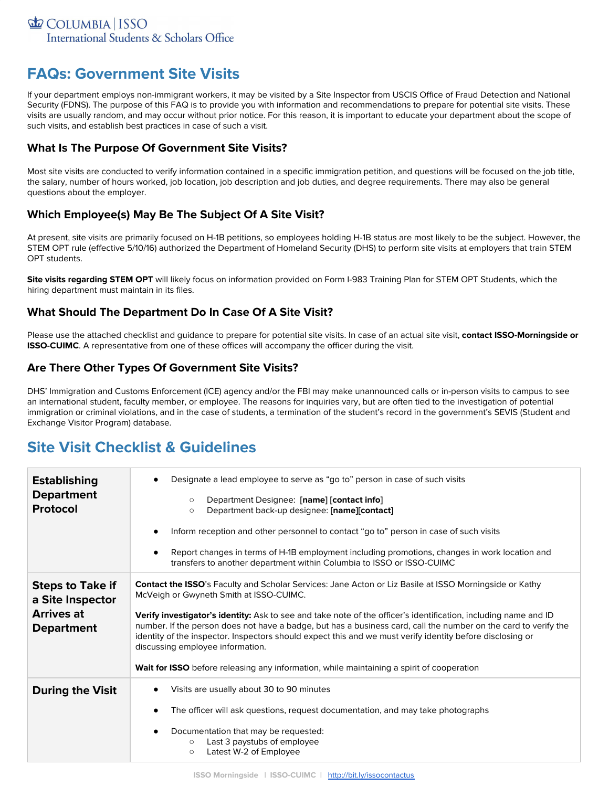# **FAQs: Government Site Visits**

If your department employs non-immigrant workers, it may be visited by a Site Inspector from USCIS Office of Fraud Detection and National Security (FDNS). The purpose of this FAQ is to provide you with information and recommendations to prepare for potential site visits. These visits are usually random, and may occur without prior notice. For this reason, it is important to educate your department about the scope of such visits, and establish best practices in case of such a visit.

#### **What Is The Purpose Of Government Site Visits?**

Most site visits are conducted to verify information contained in a specific immigration petition, and questions will be focused on the job title, the salary, number of hours worked, job location, job description and job duties, and degree requirements. There may also be general questions about the employer.

### **Which Employee(s) May Be The Subject Of A Site Visit?**

At present, site visits are primarily focused on H-1B petitions, so employees holding H-1B status are most likely to be the subject. However, the STEM OPT rule (effective 5/10/16) authorized the Department of Homeland Security (DHS) to perform site visits at employers that train STEM OPT students.

**Site visits regarding STEM OPT** will likely focus on information provided on Form I-983 Training Plan for STEM OPT Students, which the hiring department must maintain in its files.

#### **What Should The Department Do In Case Of A Site Visit?**

Please use the attached checklist and guidance to prepare for potential site visits. In case of an actual site visit, **contact ISSO-Morningside or ISSO-CUIMC**. A representative from one of these offices will accompany the officer during the visit.

#### **Are There Other Types Of Government Site Visits?**

DHS' Immigration and Customs Enforcement (ICE) agency and/or the FBI may make unannounced calls or in-person visits to campus to see an international student, faculty member, or employee. The reasons for inquiries vary, but are often tied to the investigation of potential immigration or criminal violations, and in the case of students, a termination of the student's record in the government's SEVIS (Student and Exchange Visitor Program) database.

## **Site Visit Checklist & Guidelines**

| <b>Establishing</b><br><b>Department</b><br>Protocol                                  | Designate a lead employee to serve as "go to" person in case of such visits<br>$\bullet$                                                                                                                                                                                                                                                                                            |  |
|---------------------------------------------------------------------------------------|-------------------------------------------------------------------------------------------------------------------------------------------------------------------------------------------------------------------------------------------------------------------------------------------------------------------------------------------------------------------------------------|--|
|                                                                                       | Department Designee: [name] [contact info]<br>$\circ$<br>Department back-up designee: [name][contact]<br>$\circ$                                                                                                                                                                                                                                                                    |  |
|                                                                                       | Inform reception and other personnel to contact "go to" person in case of such visits<br>٠                                                                                                                                                                                                                                                                                          |  |
|                                                                                       | Report changes in terms of H-1B employment including promotions, changes in work location and<br>٠<br>transfers to another department within Columbia to ISSO or ISSO-CUIMC                                                                                                                                                                                                         |  |
| <b>Steps to Take if</b><br>a Site Inspector<br><b>Arrives at</b><br><b>Department</b> | Contact the ISSO's Faculty and Scholar Services: Jane Acton or Liz Basile at ISSO Morningside or Kathy<br>McVeigh or Gwyneth Smith at ISSO-CUIMC.                                                                                                                                                                                                                                   |  |
|                                                                                       | Verify investigator's identity: Ask to see and take note of the officer's identification, including name and ID<br>number. If the person does not have a badge, but has a business card, call the number on the card to verify the<br>identity of the inspector. Inspectors should expect this and we must verify identity before disclosing or<br>discussing employee information. |  |
|                                                                                       | Wait for ISSO before releasing any information, while maintaining a spirit of cooperation                                                                                                                                                                                                                                                                                           |  |
| <b>During the Visit</b>                                                               | Visits are usually about 30 to 90 minutes<br>٠                                                                                                                                                                                                                                                                                                                                      |  |
|                                                                                       | The officer will ask questions, request documentation, and may take photographs<br>٠                                                                                                                                                                                                                                                                                                |  |
|                                                                                       | Documentation that may be requested:<br>٠<br>Last 3 paystubs of employee<br>$\circ$<br>Latest W-2 of Employee<br>$\circ$                                                                                                                                                                                                                                                            |  |